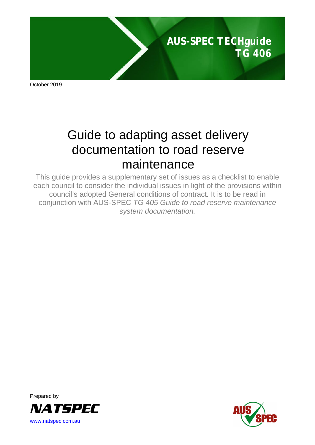

October 2019

# Guide to adapting asset delivery documentation to road reserve maintenance

This guide provides a supplementary set of issues as a checklist to enable each council to consider the individual issues in light of the provisions within council's adopted General conditions of contract*.* It is to be read in conjunction with AUS-SPEC *TG 405 Guide to road reserve maintenance system documentation.*



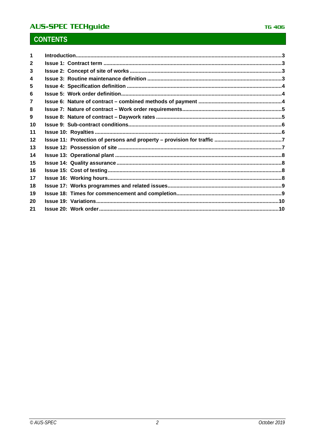# **AUS-SPEC TECHguide**

# **CONTENTS**

| 2  |  |
|----|--|
| 3  |  |
| 4  |  |
| 5  |  |
| 6  |  |
|    |  |
| 8  |  |
| 9  |  |
| 10 |  |
| 11 |  |
| 12 |  |
| 13 |  |
| 14 |  |
| 15 |  |
| 16 |  |
| 17 |  |
| 18 |  |
| 19 |  |
| 20 |  |
| 21 |  |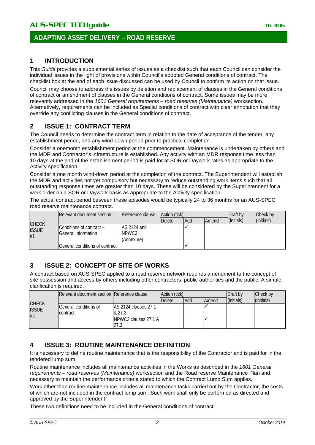#### <span id="page-2-0"></span>**1 INTRODUCTION**

This *Guide* provides a supplemental series of issues as a checklist such that each Council can consider the individual issues in the light of provisions within Council's adopted General conditions of contract. The checklist box at the end of each issue discussed can be used by Council to confirm its action on that issue.

Council may choose to address the issues by deletion and replacement of clauses in the General conditions of contract or amendment of clauses in the General conditions of contract. Some issues may be more relevantly addressed in the *1601 General requirements – road reserves (Maintenance)* worksection*.*  Alternatively, requirements can be included as Special conditions of contract with clear annotation that they override any conflicting clauses in the General conditions of contract.

#### <span id="page-2-1"></span>**2 ISSUE 1: CONTRACT TERM**

The Council needs to determine the contract term in relation to the date of acceptance of the tender, any establishment period, and any wind-down period prior to practical completion.

Consider a onemonth establishment period at the commencement. Maintenance is undertaken by others and the MDR and Contractor's infrastructure is established. Any activity with an MDR response time less than 10 days at the end of the establishment period is paid for at SOR or Daywork rates as appropriate to the Activity specification.

Consider a one month wind-down period at the completion of the contract. The Superintendent will establish the MDR and activities not yet compulsory but necessary to reduce outstanding work items such that all outstanding response times are greater than 10 days. These will be considered by the Superintendent for a work order on a SOR or Daywork basis as appropriate to the Activity specification.

The actual contract period between these episodes would be typically 24 to 36 months for an AUS-SPEC road reserve maintenance contract.

|                    | Relevant document section                         | Reference clause                   | Action (tick) |     |              | Draft by   | Check by   |
|--------------------|---------------------------------------------------|------------------------------------|---------------|-----|--------------|------------|------------|
| <b>CHECK</b>       |                                                   |                                    | <b>Delete</b> | Add | <b>Amend</b> | (initials) | (initials) |
| <b>ISSUE</b><br>#1 | IConditions of contract –<br>IGeneral information | AS 2124 and<br>NPWC3<br>(Annexure) |               |     |              |            |            |
|                    | lGeneral conditions of contract                   |                                    |               |     |              |            |            |

#### <span id="page-2-2"></span>**3 ISSUE 2: CONCEPT OF SITE OF WORKS**

A contract based on AUS-SPEC applied to a road reserve network requires amendment to the concept of site possession and access by others including other contractors, public authorities and the public. A simple clarification is required.

|                                    | Relevant document section Reference clause |                                                         | Action (tick) |            |              | Draft by   | Check by   |
|------------------------------------|--------------------------------------------|---------------------------------------------------------|---------------|------------|--------------|------------|------------|
|                                    |                                            |                                                         | <b>Delete</b> | <b>Add</b> | <b>Amend</b> | (initials) | (initials) |
| <b>CHECK</b><br><b>ISSUE</b><br>#2 | General conditions of<br><b>I</b> contract | IAS 2124 clauses 27.1<br>& 27.2<br>NPWC3 clauses 27.1 & |               |            |              |            |            |

#### <span id="page-2-3"></span>**4 ISSUE 3: ROUTINE MAINTENANCE DEFINITION**

It is necessary to define routine maintenance that is the responsibility of the Contractor and is paid for in the tendered lump sum.

Routine maintenance includes all maintenance activities in the Works as described in the *1601 General requirements – road reserves (Maintenance)* worksection and the Road reserve Maintenance Plan and necessary to maintain the performance criteria stated to which the Contract Lump Sum applies.

Work other than routine maintenance includes all maintenance tasks carried out by the Contractor, the costs of which are not included in the contract lump sum. Such work shall only be performed as directed and approved by the Superintendent.

These two definitions need to be included in the General conditions of contract.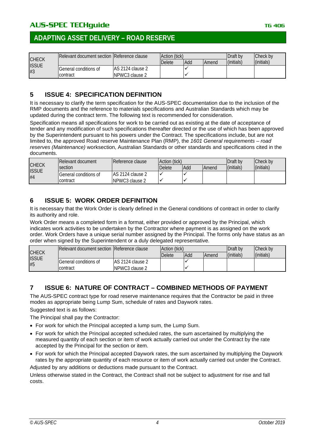|                              | Relevant document section IReference clause |                   | Action (tick) |     |              | Draft by   | Check by   |
|------------------------------|---------------------------------------------|-------------------|---------------|-----|--------------|------------|------------|
| <b>CHECK</b><br><b>ISSUE</b> |                                             |                   | Delete        | Add | <b>Amend</b> | (initials) | (initials) |
|                              | General conditions of                       | IAS 2124 clause 2 |               |     |              |            |            |
| #3                           | contract                                    | INPWC3 clause 2   |               |     |              |            |            |

#### <span id="page-3-0"></span>**5 ISSUE 4: SPECIFICATION DEFINITION**

It is necessary to clarify the term specification for the AUS-SPEC documentation due to the inclusion of the RMP documents and the reference to materials specifications and Australian Standards which may be updated during the contract term. The following text is recommended for consideration.

Specification means all specifications for work to be carried out as existing at the date of acceptance of tender and any modification of such specifications thereafter directed or the use of which has been approved by the Superintendent pursuant to his powers under the Contract. The specifications include, but are not limited to, the approved Road reserve Maintenance Plan (RMP), the *1601 General requirements – road reserves (Maintenance)* worksection, Australian Standards or other standards and specifications cited in the documents.

|                                    | Relevant document     | Reference clause  | Action (tick) |     |              | Draft by   | Check by   |
|------------------------------------|-----------------------|-------------------|---------------|-----|--------------|------------|------------|
| <b>CHECK</b><br><b>ISSUE</b><br>#4 | section               |                   | Delete        | Add | <b>Amend</b> | (initials) | (initials) |
|                                    | General conditions of | IAS 2124 clause 2 |               |     |              |            |            |
|                                    | contract              | NPWC3 clause 2    |               |     |              |            |            |

### <span id="page-3-1"></span>**6 ISSUE 5: WORK ORDER DEFINITION**

It is necessary that the Work Order is clearly defined in the General conditions of contract in order to clarify its authority and role.

Work Order means a completed form in a format, either provided or approved by the Principal, which indicates work activities to be undertaken by the Contractor where payment is as assigned on the work order. Work Orders have a unique serial number assigned by the Principal. The forms only have status as an order when signed by the Superintendent or a duly delegated representative.

|                    | <b>IRelevant document section IReference clause</b> |                   | Action (tick) |     |              | Draft by   | Check by   |
|--------------------|-----------------------------------------------------|-------------------|---------------|-----|--------------|------------|------------|
| <b>CHECK</b>       |                                                     |                   | Delete        | Add | <b>Amend</b> | (initials) | (initials) |
| <b>ISSUE</b><br>#5 | General conditions of                               | IAS 2124 clause 2 |               |     |              |            |            |
|                    | contract                                            | INPWC3 clause 2   |               |     |              |            |            |

#### <span id="page-3-2"></span>**7 ISSUE 6: NATURE OF CONTRACT – COMBINED METHODS OF PAYMENT**

The AUS-SPEC contract type for road reserve maintenance requires that the Contractor be paid in three modes as appropriate being Lump Sum, schedule of rates and Daywork rates.

Suggested text is as follows:

The Principal shall pay the Contractor:

- For work for which the Principal accepted a lump sum, the Lump Sum.
- For work for which the Principal accepted scheduled rates, the sum ascertained by multiplying the measured quantity of each section or item of work actually carried out under the Contract by the rate accepted by the Principal for the section or item.
- For work for which the Principal accepted Daywork rates, the sum ascertained by multiplying the Daywork rates by the appropriate quantity of each resource or item of work actually carried out under the Contract.

Adjusted by any additions or deductions made pursuant to the Contract.

Unless otherwise stated in the Contract, the Contract shall not be subject to adjustment for rise and fall costs.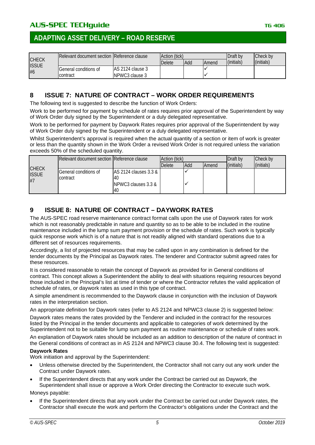|                    | IRelevant document section IReference clause    |                                      | Action (tick) |     |              | Draft by   | Check by   |
|--------------------|-------------------------------------------------|--------------------------------------|---------------|-----|--------------|------------|------------|
| <b>CHECK</b>       |                                                 |                                      | <b>Delete</b> | Add | <b>Amend</b> | (initials) | (initials) |
| <b>ISSUE</b><br>#6 | <b>General conditions of</b><br><b>contract</b> | IAS 2124 clause 3<br>INPWC3 clause 3 |               |     |              |            |            |

#### <span id="page-4-0"></span>**8 ISSUE 7: NATURE OF CONTRACT – WORK ORDER REQUIREMENTS**

The following text is suggested to describe the function of Work Orders:

Work to be performed for payment by schedule of rates requires prior approval of the Superintendent by way of Work Order duly signed by the Superintendent or a duly delegated representative.

Work to be performed for payment by Daywork Rates requires prior approval of the Superintendent by way of Work Order duly signed by the Superintendent or a duly delegated representative.

Whilst Superintendent's approval is required when the actual quantity of a section or item of work is greater or less than the quantity shown in the Work Order a revised Work Order is not required unless the variation exceeds 50% of the scheduled quantity.

|                                    | Relevant document section Reference clause |                                                                      | Action (tick) |     |              | Draft by   | Check by   |
|------------------------------------|--------------------------------------------|----------------------------------------------------------------------|---------------|-----|--------------|------------|------------|
|                                    |                                            |                                                                      | <b>Delete</b> | Add | <b>Amend</b> | (initials) | (initials) |
| <b>CHECK</b><br><b>ISSUE</b><br>#7 | <b>I</b> General conditions of<br>contract | AS 2124 clauses 3.3 &<br>40<br><b>INPWC3 clauses 3.3 &amp;</b><br>40 |               |     |              |            |            |

#### <span id="page-4-1"></span>**9 ISSUE 8: NATURE OF CONTRACT – DAYWORK RATES**

The AUS-SPEC road reserve maintenance contract format calls upon the use of Daywork rates for work which is not reasonably predictable in nature and quantity so as to be able to be included in the routine maintenance included in the lump sum payment provision or the schedule of rates. Such work is typically quick response work which is of a nature that is not readily aligned with standard operations due to a different set of resources requirements.

Accordingly, a list of projected resources that may be called upon in any combination is defined for the tender documents by the Principal as Daywork rates. The tenderer and Contractor submit agreed rates for these resources.

It is considered reasonable to retain the concept of Daywork as provided for in General conditions of contract. This concept allows a Superintendent the ability to deal with situations requiring resources beyond those included in the Principal's list at time of tender or where the Contractor refutes the valid application of schedule of rates, or daywork rates as used in this type of contract.

A simple amendment is recommended to the Daywork clause in conjunction with the inclusion of Daywork rates in the interpretation section.

An appropriate definition for Daywork rates (refer to AS 2124 and NPWC3 clause 2) is suggested below:

Daywork rates means the rates provided by the Tenderer and included in the contract for the resources listed by the Principal in the tender documents and applicable to categories of work determined by the Superintendent not to be suitable for lump sum payment as routine maintenance or schedule of rates work.

An explanation of Daywork rates should be included as an addition to description of the nature of contract in the General conditions of contract as in AS 2124 and NPWC3 clause 30.4. The following text is suggested:

#### **Daywork Rates**

Work initiation and approval by the Superintendent:

- Unless otherwise directed by the Superintendent, the Contractor shall not carry out any work under the Contract under Daywork rates.
- If the Superintendent directs that any work under the Contract be carried out as Daywork, the Superintendent shall issue or approve a Work Order directing the Contractor to execute such work.

Moneys payable:

• If the Superintendent directs that any work under the Contract be carried out under Daywork rates, the Contractor shall execute the work and perform the Contractor's obligations under the Contract and the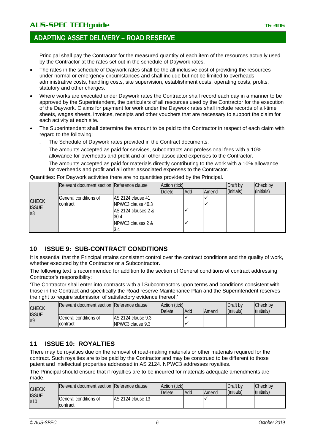## AUS-SPEC TECHquide **TECHGUIDE TECHGUIDE TELEVISION** TG 406

## **ADAPTING ASSET DELIVERY – ROAD RESERVE**

Principal shall pay the Contractor for the measured quantity of each item of the resources actually used by the Contractor at the rates set out in the schedule of Daywork rates.

- The rates in the schedule of Daywork rates shall be the all-inclusive cost of providing the resources under normal or emergency circumstances and shall include but not be limited to overheads, administrative costs, handling costs, site supervision, establishment costs, operating costs, profits, statutory and other charges.
- Where works are executed under Daywork rates the Contractor shall record each day in a manner to be approved by the Superintendent, the particulars of all resources used by the Contractor for the execution of the Daywork. Claims for payment for work under the Daywork rates shall include records of all-time sheets, wages sheets, invoices, receipts and other vouchers that are necessary to support the claim for each activity at each site.
- The Superintendent shall determine the amount to be paid to the Contractor in respect of each claim with regard to the following:
	- . The Schedule of Daywork rates provided in the Contract documents.
	- . The amounts accepted as paid for services, subcontracts and professional fees with a 10% allowance for overheads and profit and all other associated expenses to the Contractor.
	- . The amounts accepted as paid for materials directly contributing to the work with a 10% allowance for overheads and profit and all other associated expenses to the Contractor.

Quantities: For Daywork activities there are no quantities provided by the Principal.

|              | Relevant document section Reference clause |                               | Action (tick) |     |       | Draft by   | Check by   |
|--------------|--------------------------------------------|-------------------------------|---------------|-----|-------|------------|------------|
|              |                                            |                               | <b>Delete</b> | Add | Amend | (initials) | (initials) |
| <b>CHECK</b> | General conditions of                      | AS 2124 clause 41             |               |     |       |            |            |
| <b>ISSUE</b> | <b>Icontract</b>                           | NPWC3 clause 40.3             |               |     |       |            |            |
| #8           |                                            | AS 2124 clauses 2 &           |               |     |       |            |            |
|              |                                            | 30.4                          |               |     |       |            |            |
|              |                                            | <b>INPWC3 clauses 2 &amp;</b> |               |     |       |            |            |
|              |                                            |                               |               |     |       |            |            |

#### <span id="page-5-0"></span>**10 ISSUE 9: SUB-CONTRACT CONDITIONS**

It is essential that the Principal retains consistent control over the contract conditions and the quality of work, whether executed by the Contractor or a Subcontractor.

The following text is recommended for addition to the section of General conditions of contract addressing Contractor's responsibility:

'The Contractor shall enter into contracts with all Subcontractors upon terms and conditions consistent with those in the Contract and specifically the Road reserve Maintenance Plan and the Superintendent reserves the right to require submission of satisfactory evidence thereof.'

|                    | <b>IRelevant document section IReference clause</b> |                     | Action (tick) |     |       | Draft by   | Check by   |
|--------------------|-----------------------------------------------------|---------------------|---------------|-----|-------|------------|------------|
| <b>CHECK</b>       |                                                     |                     | <b>Delete</b> | Add | Amend | (initials) | (initials) |
| <b>ISSUE</b><br>#9 | General conditions of                               | IAS 2124 clause 9.3 |               |     |       |            |            |
|                    | contract                                            | INPWC3 clause 9.3   |               |     |       |            |            |

#### <span id="page-5-1"></span>**11 ISSUE 10: ROYALTIES**

There may be royalties due on the removal of road-making materials or other materials required for the contract. Such royalties are to be paid by the Contractor and may be construed to be different to those patent and intellectual properties addressed in AS 2124. NPWC3 addresses royalties.

The Principal should ensure that if royalties are to be incurred for materials adequate amendments are made.

|                              | Relevant document section Reference clause |                    | Action (tick) |     |       | Draft by   | Check by   |
|------------------------------|--------------------------------------------|--------------------|---------------|-----|-------|------------|------------|
| <b>CHECK</b><br><b>ISSUE</b> |                                            |                    | Delete        | Add | Amend | (initials) | (initials) |
| #10                          | <b>IGeneral conditions of</b><br>contract  | IAS 2124 clause 13 |               |     |       |            |            |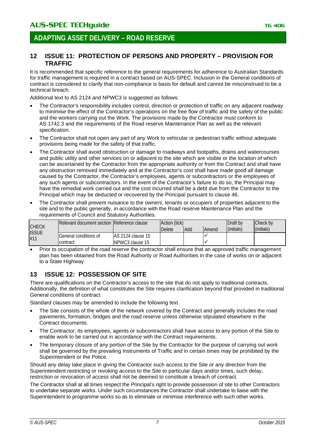#### <span id="page-6-0"></span>**12 ISSUE 11: PROTECTION OF PERSONS AND PROPERTY – PROVISION FOR TRAFFIC**

It is recommended that specific reference to the general requirements for adherence to Australian Standards for traffic management is required in a contract based on AUS-SPEC. Inclusion in the General conditions of contract is considered to clarify that non-compliance is basis for default and cannot be misconstrued to be a technical breach.

Additional text to AS 2124 and NPWC3 is suggested as follows:

- The Contractor's responsibility includes control, direction or protection of traffic on any adjacent roadway to minimise the effect of the Contractor's operations on the free flow of traffic and the safety of the public and the workers carrying out the Work. The provisions made by the Contractor must conform to AS 1742.3 and the requirements of the Road reserve Maintenance Plan as well as the relevant specification.
- The Contractor shall not open any part of any Work to vehicular or pedestrian traffic without adequate provisions being made for the safety of that traffic.
- The Contractor shall avoid obstruction or damage to roadways and footpaths, drains and watercourses and public utility and other services on or adjacent to the site which are visible or the location of which can be ascertained by the Contractor from the appropriate authority or from the Contract and shall have any obstruction removed immediately and at the Contractor's cost shall have made good all damage caused by the Contractor, the Contractor's employees, agents or subcontractors or the employees of any such agents or subcontractors. In the event of the Contractor's failure to do so, the Principal may have the remedial work carried out and the cost incurred shall be a debt due from the Contractor to the Principal which may be deducted or recovered by the Principal pursuant to clause 46.
- The Contractor shall prevent nuisance to the owners, tenants or occupiers of properties adjacent to the site and to the public generally, in accordance with the Road reserve Maintenance Plan and the requirements of Council and Statutory Authorities.

|                     | Relevant document section Reference clause |                    | Action (tick) |            |       | Draft by   | Check by   |
|---------------------|--------------------------------------------|--------------------|---------------|------------|-------|------------|------------|
| <b>CHECK</b>        |                                            |                    | <b>Delete</b> | <b>Add</b> | Amend | (initials) | (initials) |
| <b>ISSUE</b><br>#11 | lGeneral conditions of                     | IAS 2124 clause 15 |               |            |       |            |            |
|                     | contract                                   | INPWC3 clause 15   |               |            |       |            |            |

<span id="page-6-1"></span>• Prior to occupation of the road reserve the contractor shall ensure that an approved traffic management plan has been obtained from the Road Authority or Road Authorities in the case of works on or adjacent to a State Highway.

#### **13 ISSUE 12: POSSESSION OF SITE**

There are qualifications on the Contractor's access to the site that do not apply to traditional contracts. Additionally, the definition of what constitutes the Site requires clarification beyond that provided in traditional General conditions of contract.

Standard clauses may be amended to include the following text.

- The Site consists of the whole of the network covered by the Contract and generally includes the road pavements, formation, bridges and the road reserve unless otherwise stipulated elsewhere in the Contract documents.
- The Contractor, its employees, agents or subcontractors shall have access to any portion of the Site to enable work to be carried out in accordance with the Contract requirements.
- The temporary closure of any portion of the Site by the Contractor for the purpose of carrying out work shall be governed by the prevailing Instruments of Traffic and in certain times may be prohibited by the Superintendent or the Police.

Should any delay take place in giving the Contractor such access to the Site or any direction from the Superintendent restricting or revoking access to the Site to particular days and/or times, such delay, restriction or revocation of access shall not be deemed to constitute a breach of contract.

The Contractor shall at all times respect the Principal's right to provide possession of site to other Contractors to undertake separate works. Under such circumstances the Contractor shall undertake to liaise with the Superintendent to programme works so as to eliminate or minimise interference with such other works.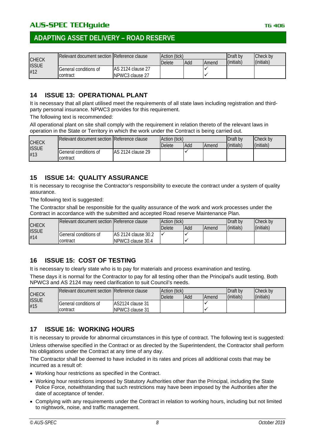|                              | <b>IRelevant document section IReference clause</b> |                    | Action (tick) |     | Draft by     | Check by   |            |
|------------------------------|-----------------------------------------------------|--------------------|---------------|-----|--------------|------------|------------|
| <b>CHECK</b><br><b>ISSUE</b> |                                                     |                    | Delete        | Add | <b>Amend</b> | (initials) | (initials) |
| #12                          | General conditions of                               | IAS 2124 clause 27 |               |     |              |            |            |
|                              | contract                                            | INPWC3 clause 27   |               |     |              |            |            |

#### <span id="page-7-0"></span>**14 ISSUE 13: OPERATIONAL PLANT**

It is necessary that all plant utilised meet the requirements of all state laws including registration and thirdparty personal insurance. NPWC3 provides for this requirement.

The following text is recommended:

All operational plant on site shall comply with the requirement in relation thereto of the relevant laws in operation in the State or Territory in which the work under the Contract is being carried out.

|                              | Relevant document section Reference clause |                    | Action (tick) |     | Draft by     | Check by   |            |
|------------------------------|--------------------------------------------|--------------------|---------------|-----|--------------|------------|------------|
| <b>CHECK</b><br><b>ISSUE</b> |                                            |                    | Delete        | Add | <b>Amend</b> | (initials) | (initials) |
| #13                          | General conditions of                      | IAS 2124 clause 29 |               |     |              |            |            |
|                              | contract                                   |                    |               |     |              |            |            |

#### <span id="page-7-1"></span>**15 ISSUE 14: QUALITY ASSURANCE**

It is necessary to recognise the Contractor's responsibility to execute the contract under a system of quality assurance.

The following text is suggested:

The Contractor shall be responsible for the quality assurance of the work and work processes under the Contract in accordance with the submitted and accepted Road reserve Maintenance Plan.

|                              | IRelevant document section IReference clause |                     | Action (tick) |            |       | Draft by   | Check by   |
|------------------------------|----------------------------------------------|---------------------|---------------|------------|-------|------------|------------|
| <b>CHECK</b><br><b>ISSUE</b> |                                              |                     | <b>Delete</b> | <b>Add</b> | Amend | (initials) | (initials) |
| #14                          | <b>IGeneral conditions of</b>                | AS 2124 clause 30.2 |               |            |       |            |            |
|                              | Icontract                                    | INPWC3 clause 30.4  |               |            |       |            |            |

#### <span id="page-7-2"></span>**16 ISSUE 15: COST OF TESTING**

It is necessary to clearly state who is to pay for materials and process examination and testing.

These days it is normal for the Contractor to pay for all testing other than the Principal's audit testing. Both NPWC3 and AS 2124 may need clarification to suit Council's needs.

| <b>CHECK</b><br><b>ISSUE</b><br>#15 | Relevant document section Reference clause |                   | Action (tick) |     |       | Draft by   | Check by   |
|-------------------------------------|--------------------------------------------|-------------------|---------------|-----|-------|------------|------------|
|                                     |                                            |                   | Delete        | Add | Amend | (initials) | (initials) |
|                                     | <b>General conditions of</b>               | IAS2124 clause 31 |               |     |       |            |            |
|                                     | Icontract                                  | NPWC3 clause 31   |               |     |       |            |            |

#### <span id="page-7-3"></span>**17 ISSUE 16: WORKING HOURS**

It is necessary to provide for abnormal circumstances in this type of contract. The following text is suggested: Unless otherwise specified in the Contract or as directed by the Superintendent, the Contractor shall perform his obligations under the Contract at any time of any day.

The Contractor shall be deemed to have included in its rates and prices all additional costs that may be incurred as a result of:

- Working hour restrictions as specified in the Contract.
- Working hour restrictions imposed by Statutory Authorities other than the Principal, including the State Police Force, notwithstanding that such restrictions may have been imposed by the Authorities after the date of acceptance of tender.
- Complying with any requirements under the Contract in relation to working hours, including but not limited to nightwork, noise, and traffic management.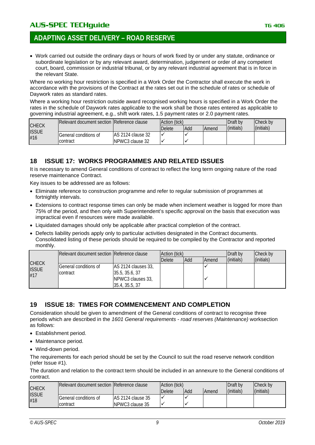• Work carried out outside the ordinary days or hours of work fixed by or under any statute, ordinance or subordinate legislation or by any relevant award, determination, judgement or order of any competent court, board, commission or industrial tribunal, or by any relevant industrial agreement that is in force in the relevant State.

Where no working hour restriction is specified in a Work Order the Contractor shall execute the work in accordance with the provisions of the Contract at the rates set out in the schedule of rates or schedule of Daywork rates as standard rates.

Where a working hour restriction outside award recognised working hours is specified in a Work Order the rates in the schedule of Daywork rates applicable to the work shall be those rates entered as applicable to governing industrial agreement, e.g., shift work rates, 1.5 payment rates or 2.0 payment rates.

|                                     | <b>IRelevant document section IReference clause</b> |                    | Action (tick) |     |              | Draft by   | Check by   |
|-------------------------------------|-----------------------------------------------------|--------------------|---------------|-----|--------------|------------|------------|
| <b>CHECK</b><br><b>ISSUE</b><br>#16 |                                                     | <b>Delete</b>      |               | Add | <b>Amend</b> | (initials) | (initials) |
|                                     | General conditions of                               | IAS 2124 clause 32 |               |     |              |            |            |
|                                     | contract                                            | INPWC3 clause 32   |               |     |              |            |            |

#### <span id="page-8-0"></span>**18 ISSUE 17: WORKS PROGRAMMES AND RELATED ISSUES**

It is necessary to amend General conditions of contract to reflect the long term ongoing nature of the road reserve maintenance Contract.

Key issues to be addressed are as follows:

- Eliminate reference to construction programme and refer to regular submission of programmes at fortnightly intervals.
- Extensions to contract response times can only be made when inclement weather is logged for more than 75% of the period, and then only with Superintendent's specific approval on the basis that execution was impractical even if resources were made available.
- Liquidated damages should only be applicable after practical completion of the contract.
- Defects liability periods apply only to particular activities designated in the Contract documents. Consolidated listing of these periods should be required to be compiled by the Contractor and reported monthly.

|                     | Relevant document section Reference clause |                                                                              | Action (tick) |     |              | Draft by   | Check by   |
|---------------------|--------------------------------------------|------------------------------------------------------------------------------|---------------|-----|--------------|------------|------------|
| <b>CHECK</b>        |                                            |                                                                              | <b>Delete</b> | Add | <b>Amend</b> | (initials) | (initials) |
| <b>ISSUE</b><br>#17 | General conditions of<br>contract          | AS 2124 clauses 33,<br>35.5, 35.6, 37<br>NPWC3 clauses 33,<br>35.4, 35.5, 37 |               |     |              |            |            |

#### <span id="page-8-1"></span>**19 ISSUE 18: TIMES FOR COMMENCEMENT AND COMPLETION**

Consideration should be given to amendment of the General conditions of contract to recognise three periods which are described in the *1601 General requirements - road reserves (Maintenance)* worksection as follows:

- Establishment period.
- Maintenance period.
- Wind-down period.

The requirements for each period should be set by the Council to suit the road reserve network condition (refer Issue #1).

The duration and relation to the contract term should be included in an annexure to the General conditions of contract.

|                     | Relevant document section Reference clause |                    | Action (tick) |     |              | Draft by   | Check by   |
|---------------------|--------------------------------------------|--------------------|---------------|-----|--------------|------------|------------|
| <b>CHECK</b>        |                                            |                    | Delete        | Add | <b>Amend</b> | (initials) | (initials) |
| <b>ISSUE</b><br>#18 | <b>IGeneral conditions of</b>              | IAS 2124 clause 35 |               |     |              |            |            |
|                     | contract                                   | NPWC3 clause 35    |               |     |              |            |            |